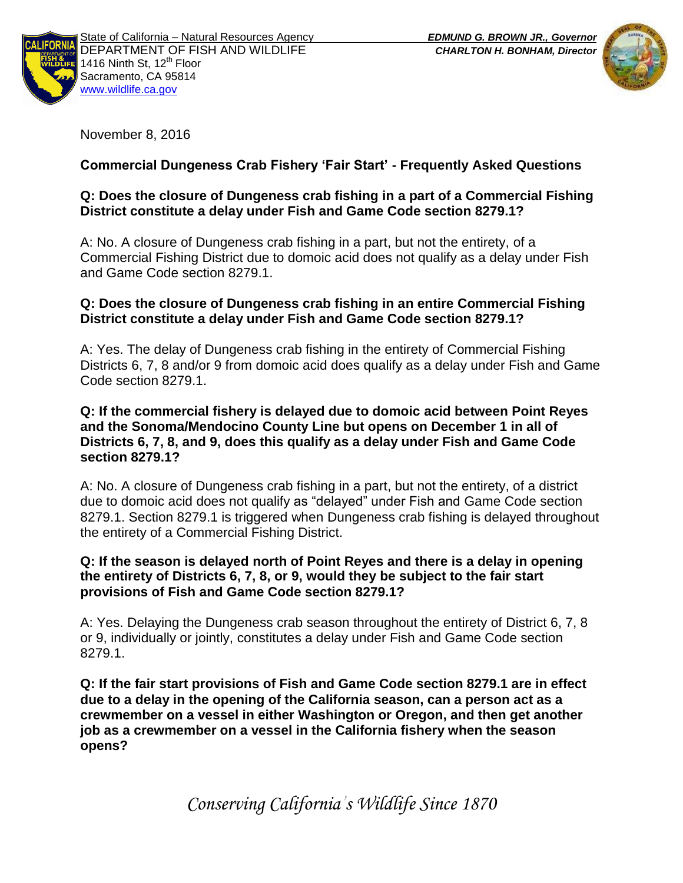



November 8, 2016

# **Commercial Dungeness Crab Fishery 'Fair Start' - Frequently Asked Questions**

## **Q: Does the closure of Dungeness crab fishing in a part of a Commercial Fishing District constitute a delay under Fish and Game Code section 8279.1?**

A: No. A closure of Dungeness crab fishing in a part, but not the entirety, of a Commercial Fishing District due to domoic acid does not qualify as a delay under Fish and Game Code section 8279.1.

## **Q: Does the closure of Dungeness crab fishing in an entire Commercial Fishing District constitute a delay under Fish and Game Code section 8279.1?**

A: Yes. The delay of Dungeness crab fishing in the entirety of Commercial Fishing Districts 6, 7, 8 and/or 9 from domoic acid does qualify as a delay under Fish and Game Code section 8279.1.

### **Q: If the commercial fishery is delayed due to domoic acid between Point Reyes and the Sonoma/Mendocino County Line but opens on December 1 in all of Districts 6, 7, 8, and 9, does this qualify as a delay under Fish and Game Code section 8279.1?**

A: No. A closure of Dungeness crab fishing in a part, but not the entirety, of a district due to domoic acid does not qualify as "delayed" under Fish and Game Code section 8279.1. Section 8279.1 is triggered when Dungeness crab fishing is delayed throughout the entirety of a Commercial Fishing District.

### **Q: If the season is delayed north of Point Reyes and there is a delay in opening the entirety of Districts 6, 7, 8, or 9, would they be subject to the fair start provisions of Fish and Game Code section 8279.1?**

A: Yes. Delaying the Dungeness crab season throughout the entirety of District 6, 7, 8 or 9, individually or jointly, constitutes a delay under Fish and Game Code section 8279.1.

**Q: If the fair start provisions of Fish and Game Code section 8279.1 are in effect due to a delay in the opening of the California season, can a person act as a crewmember on a vessel in either Washington or Oregon, and then get another job as a crewmember on a vessel in the California fishery when the season opens?**

*Conserving California's Wildlife Since 1870*